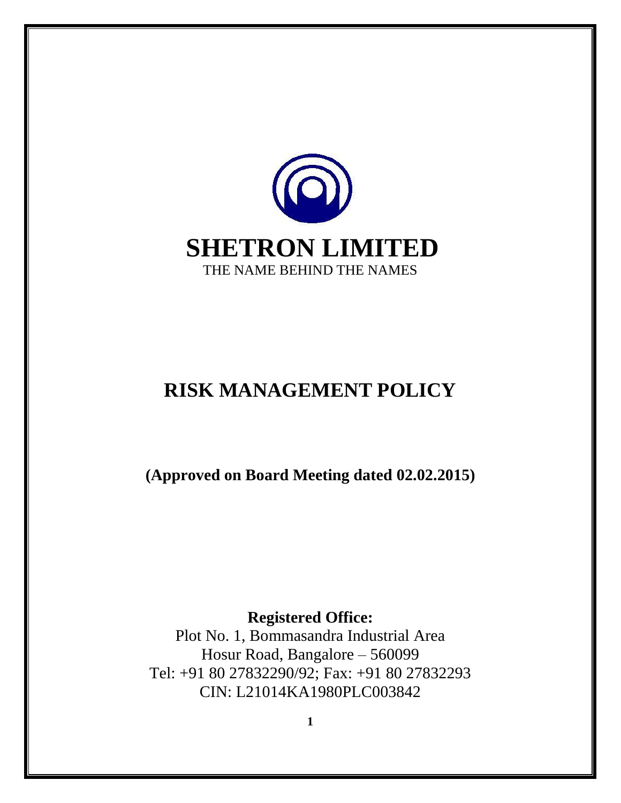

# **RISK MANAGEMENT POLICY**

**(Approved on Board Meeting dated 02.02.2015)**

**Registered Office:** 

Plot No. 1, Bommasandra Industrial Area Hosur Road, Bangalore – 560099 Tel: +91 80 27832290/92; Fax: +91 80 27832293 CIN: L21014KA1980PLC003842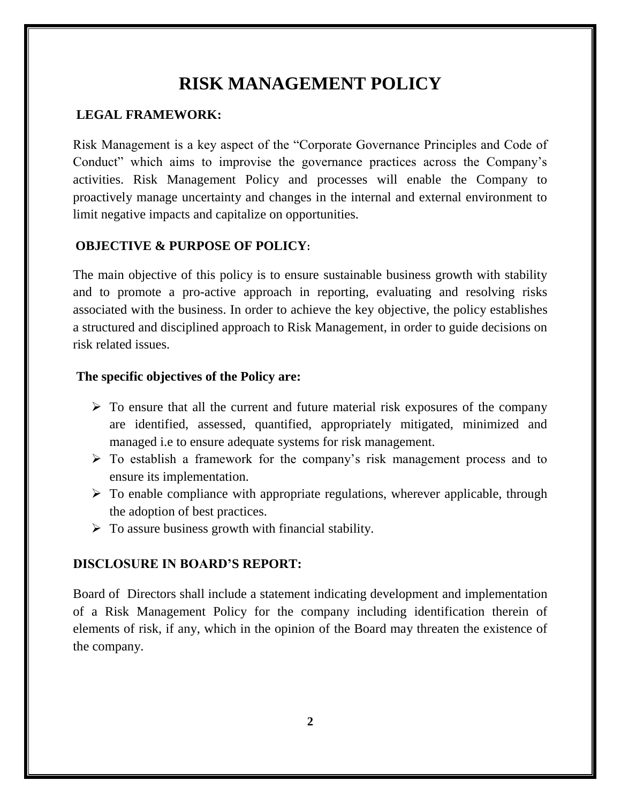# **RISK MANAGEMENT POLICY**

#### **LEGAL FRAMEWORK:**

Risk Management is a key aspect of the "Corporate Governance Principles and Code of Conduct" which aims to improvise the governance practices across the Company's activities. Risk Management Policy and processes will enable the Company to proactively manage uncertainty and changes in the internal and external environment to limit negative impacts and capitalize on opportunities.

#### **OBJECTIVE & PURPOSE OF POLICY:**

The main objective of this policy is to ensure sustainable business growth with stability and to promote a pro-active approach in reporting, evaluating and resolving risks associated with the business. In order to achieve the key objective, the policy establishes a structured and disciplined approach to Risk Management, in order to guide decisions on risk related issues.

#### **The specific objectives of the Policy are:**

- $\triangleright$  To ensure that all the current and future material risk exposures of the company are identified, assessed, quantified, appropriately mitigated, minimized and managed i.e to ensure adequate systems for risk management.
- $\triangleright$  To establish a framework for the company's risk management process and to ensure its implementation.
- $\triangleright$  To enable compliance with appropriate regulations, wherever applicable, through the adoption of best practices.
- $\triangleright$  To assure business growth with financial stability.

#### **DISCLOSURE IN BOARD'S REPORT:**

Board of Directors shall include a statement indicating development and implementation of a Risk Management Policy for the company including identification therein of elements of risk, if any, which in the opinion of the Board may threaten the existence of the company.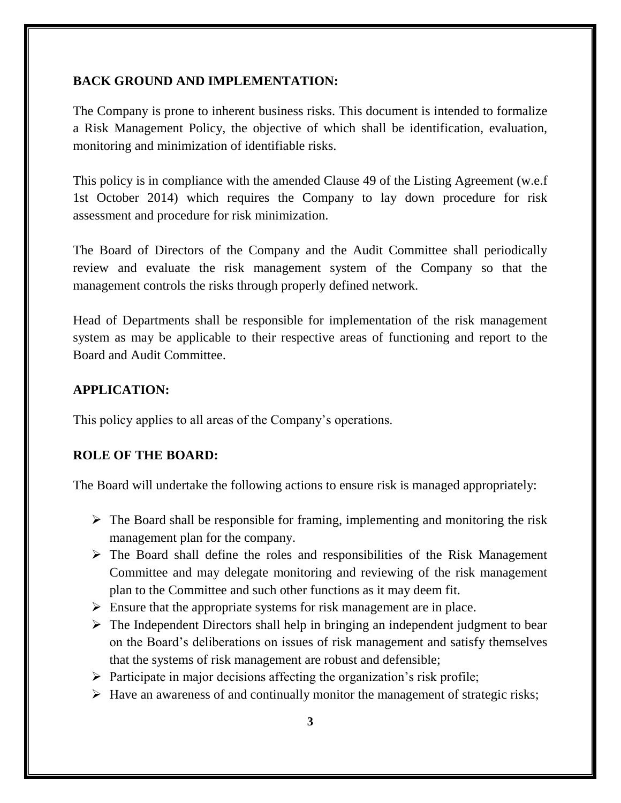#### **BACK GROUND AND IMPLEMENTATION:**

The Company is prone to inherent business risks. This document is intended to formalize a Risk Management Policy, the objective of which shall be identification, evaluation, monitoring and minimization of identifiable risks.

This policy is in compliance with the amended Clause 49 of the Listing Agreement (w.e.f 1st October 2014) which requires the Company to lay down procedure for risk assessment and procedure for risk minimization.

The Board of Directors of the Company and the Audit Committee shall periodically review and evaluate the risk management system of the Company so that the management controls the risks through properly defined network.

Head of Departments shall be responsible for implementation of the risk management system as may be applicable to their respective areas of functioning and report to the Board and Audit Committee.

#### **APPLICATION:**

This policy applies to all areas of the Company's operations.

#### **ROLE OF THE BOARD:**

The Board will undertake the following actions to ensure risk is managed appropriately:

- $\triangleright$  The Board shall be responsible for framing, implementing and monitoring the risk management plan for the company.
- $\triangleright$  The Board shall define the roles and responsibilities of the Risk Management Committee and may delegate monitoring and reviewing of the risk management plan to the Committee and such other functions as it may deem fit.
- $\triangleright$  Ensure that the appropriate systems for risk management are in place.
- $\triangleright$  The Independent Directors shall help in bringing an independent judgment to bear on the Board's deliberations on issues of risk management and satisfy themselves that the systems of risk management are robust and defensible;
- $\triangleright$  Participate in major decisions affecting the organization's risk profile;
- $\triangleright$  Have an awareness of and continually monitor the management of strategic risks;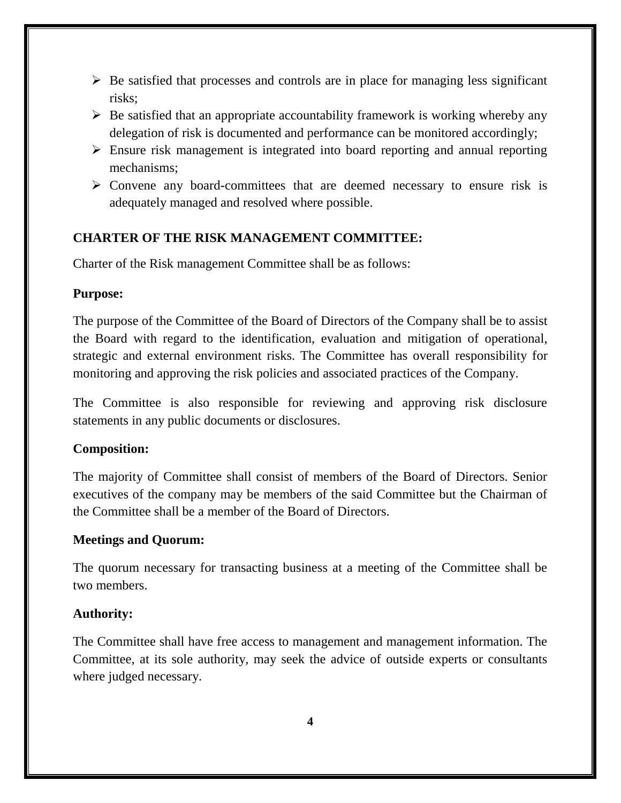- $\triangleright$  Be satisfied that processes and controls are in place for managing less significant risks;
- $\triangleright$  Be satisfied that an appropriate accountability framework is working whereby any delegation of risk is documented and performance can be monitored accordingly;
- Ensure risk management is integrated into board reporting and annual reporting mechanisms;
- $\triangleright$  Convene any board-committees that are deemed necessary to ensure risk is adequately managed and resolved where possible.

### **CHARTER OF THE RISK MANAGEMENT COMMITTEE:**

Charter of the Risk management Committee shall be as follows:

#### **Purpose:**

The purpose of the Committee of the Board of Directors of the Company shall be to assist the Board with regard to the identification, evaluation and mitigation of operational, strategic and external environment risks. The Committee has overall responsibility for monitoring and approving the risk policies and associated practices of the Company.

The Committee is also responsible for reviewing and approving risk disclosure statements in any public documents or disclosures.

# **Composition:**

The majority of Committee shall consist of members of the Board of Directors. Senior executives of the company may be members of the said Committee but the Chairman of the Committee shall be a member of the Board of Directors.

# **Meetings and Quorum:**

The quorum necessary for transacting business at a meeting of the Committee shall be two members.

# **Authority:**

The Committee shall have free access to management and management information. The Committee, at its sole authority, may seek the advice of outside experts or consultants where judged necessary.